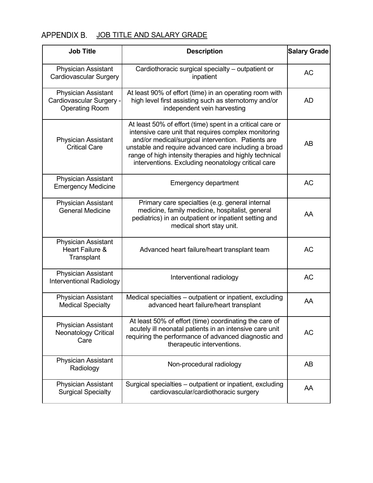## APPENDIX B. JOB TITLE AND SALARY GRADE

| <b>Job Title</b>                                                                | <b>Description</b>                                                                                                                                                                                                                                                                                                                              | <b>Salary Grade</b> |
|---------------------------------------------------------------------------------|-------------------------------------------------------------------------------------------------------------------------------------------------------------------------------------------------------------------------------------------------------------------------------------------------------------------------------------------------|---------------------|
| <b>Physician Assistant</b><br>Cardiovascular Surgery                            | Cardiothoracic surgical specialty - outpatient or<br>inpatient                                                                                                                                                                                                                                                                                  | <b>AC</b>           |
| <b>Physician Assistant</b><br>Cardiovascular Surgery -<br><b>Operating Room</b> | At least 90% of effort (time) in an operating room with<br>high level first assisting such as sternotomy and/or<br>independent vein harvesting                                                                                                                                                                                                  | <b>AD</b>           |
| <b>Physician Assistant</b><br><b>Critical Care</b>                              | At least 50% of effort (time) spent in a critical care or<br>intensive care unit that requires complex monitoring<br>and/or medical/surgical intervention. Patients are<br>unstable and require advanced care including a broad<br>range of high intensity therapies and highly technical<br>interventions. Excluding neonatology critical care | <b>AB</b>           |
| <b>Physician Assistant</b><br><b>Emergency Medicine</b>                         | <b>Emergency department</b>                                                                                                                                                                                                                                                                                                                     | <b>AC</b>           |
| <b>Physician Assistant</b><br><b>General Medicine</b>                           | Primary care specialties (e.g. general internal<br>medicine, family medicine, hospitalist, general<br>pediatrics) in an outpatient or inpatient setting and<br>medical short stay unit.                                                                                                                                                         | AA                  |
| <b>Physician Assistant</b><br>Heart Failure &<br>Transplant                     | Advanced heart failure/heart transplant team                                                                                                                                                                                                                                                                                                    | <b>AC</b>           |
| <b>Physician Assistant</b><br><b>Interventional Radiology</b>                   | Interventional radiology                                                                                                                                                                                                                                                                                                                        | <b>AC</b>           |
| <b>Physician Assistant</b><br><b>Medical Specialty</b>                          | Medical specialties – outpatient or inpatient, excluding<br>advanced heart failure/heart transplant                                                                                                                                                                                                                                             | AA                  |
| Physician Assistant<br><b>Neonatology Critical</b><br>Care                      | At least 50% of effort (time) coordinating the care of<br>acutely ill neonatal patients in an intensive care unit<br>requiring the performance of advanced diagnostic and<br>therapeutic interventions.                                                                                                                                         | <b>AC</b>           |
| <b>Physician Assistant</b><br>Radiology                                         | Non-procedural radiology                                                                                                                                                                                                                                                                                                                        | AB                  |
| Physician Assistant<br><b>Surgical Specialty</b>                                | Surgical specialties - outpatient or inpatient, excluding<br>cardiovascular/cardiothoracic surgery                                                                                                                                                                                                                                              | AA                  |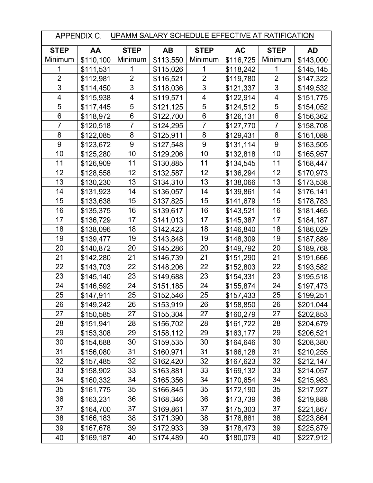| APPENDIX C. UPAMM SALARY SCHEDULE EFFECTIVE AT RATIFICATION |           |                |           |                  |           |                         |           |
|-------------------------------------------------------------|-----------|----------------|-----------|------------------|-----------|-------------------------|-----------|
| <b>STEP</b>                                                 | AA        | <b>STEP</b>    | <b>AB</b> | <b>STEP</b>      | <b>AC</b> | <b>STEP</b>             | <b>AD</b> |
| Minimum                                                     | \$110,100 | Minimum        | \$113,550 | Minimum          | \$116,725 | Minimum                 | \$143,000 |
| 1                                                           | \$111,531 | 1              | \$115,026 | 1                | \$118,242 | 1                       | \$145,145 |
| $\overline{2}$                                              | \$112,981 | $\overline{2}$ | \$116,521 | $\overline{2}$   | \$119,780 | $\overline{2}$          | \$147,322 |
| 3                                                           | \$114,450 | $\overline{3}$ | \$118,036 | 3                | \$121,337 | $\mathfrak{S}$          | \$149,532 |
| 4                                                           | \$115,938 | 4              | \$119,571 | $\overline{4}$   | \$122,914 | $\overline{\mathbf{4}}$ | \$151,775 |
| 5                                                           | \$117,445 | 5              | \$121,125 | 5                | \$124,512 | 5                       | \$154,052 |
| 6                                                           | \$118,972 | $\overline{6}$ | \$122,700 | $\,6$            | \$126,131 | $\,6\,$                 | \$156,362 |
| $\overline{7}$                                              | \$120,518 | $\overline{7}$ | \$124,295 | $\overline{7}$   | \$127,770 | $\overline{7}$          | \$158,708 |
| 8                                                           | \$122,085 | 8              | \$125,911 | 8                | \$129,431 | 8                       | \$161,088 |
| 9                                                           | \$123,672 | 9              | \$127,548 | $\boldsymbol{9}$ | \$131,114 | 9                       | \$163,505 |
| 10                                                          | \$125,280 | 10             | \$129,206 | 10               | \$132,818 | 10                      | \$165,957 |
| 11                                                          | \$126,909 | 11             | \$130,885 | 11               | \$134,545 | 11                      | \$168,447 |
| 12                                                          | \$128,558 | 12             | \$132,587 | 12               | \$136,294 | 12                      | \$170,973 |
| 13                                                          | \$130,230 | 13             | \$134,310 | 13               | \$138,066 | 13                      | \$173,538 |
| 14                                                          | \$131,923 | 14             | \$136,057 | 14               | \$139,861 | 14                      | \$176,141 |
| 15                                                          | \$133,638 | 15             | \$137,825 | 15               | \$141,679 | 15                      | \$178,783 |
| 16                                                          | \$135,375 | 16             | \$139,617 | 16               | \$143,521 | 16                      | \$181,465 |
| 17                                                          | \$136,729 | 17             | \$141,013 | 17               | \$145,387 | 17                      | \$184,187 |
| 18                                                          | \$138,096 | 18             | \$142,423 | 18               | \$146,840 | 18                      | \$186,029 |
| 19                                                          | \$139,477 | 19             | \$143,848 | 19               | \$148,309 | 19                      | \$187,889 |
| 20                                                          | \$140,872 | 20             | \$145,286 | 20               | \$149,792 | 20                      | \$189,768 |
| 21                                                          | \$142,280 | 21             | \$146,739 | 21               | \$151,290 | 21                      | \$191,666 |
| 22                                                          | \$143,703 | 22             | \$148,206 | 22               | \$152,803 | 22                      | \$193,582 |
| 23                                                          | \$145,140 | 23             | \$149,688 | 23               | \$154,331 | 23                      | \$195,518 |
| 24                                                          | \$146,592 | 24             | \$151,185 | 24               | \$155,874 | 24                      | \$197,473 |
| 25                                                          | \$147,911 | 25             | \$152,546 | 25               | \$157,433 | 25                      | \$199,251 |
| 26                                                          | \$149,242 | 26             | \$153,919 | 26               | \$158,850 | 26                      | \$201,044 |
| 27                                                          | \$150,585 | 27             | \$155,304 | 27               | \$160,279 | 27                      | \$202,853 |
| 28                                                          | \$151,941 | 28             | \$156,702 | 28               | \$161,722 | 28                      | \$204,679 |
| 29                                                          | \$153,308 | 29             | \$158,112 | 29               | \$163,177 | 29                      | \$206,521 |
| 30                                                          | \$154,688 | 30             | \$159,535 | 30               | \$164,646 | 30                      | \$208,380 |
| 31                                                          | \$156,080 | 31             | \$160,971 | 31               | \$166,128 | 31                      | \$210,255 |
| 32                                                          | \$157,485 | 32             | \$162,420 | 32               | \$167,623 | 32                      | \$212,147 |
| 33                                                          | \$158,902 | 33             | \$163,881 | 33               | \$169,132 | 33                      | \$214,057 |
| 34                                                          | \$160,332 | 34             | \$165,356 | 34               | \$170,654 | 34                      | \$215,983 |
| 35                                                          | \$161,775 | 35             | \$166,845 | 35               | \$172,190 | 35                      | \$217,927 |
| 36                                                          | \$163,231 | 36             | \$168,346 | 36               | \$173,739 | 36                      | \$219,888 |
| 37                                                          | \$164,700 | 37             | \$169,861 | 37               | \$175,303 | 37                      | \$221,867 |
| 38                                                          | \$166,183 | 38             | \$171,390 | 38               | \$176,881 | 38                      | \$223,864 |
| 39                                                          | \$167,678 | 39             | \$172,933 | 39               | \$178,473 | 39                      | \$225,879 |
| 40                                                          | \$169,187 | 40             | \$174,489 | 40               | \$180,079 | 40                      | \$227,912 |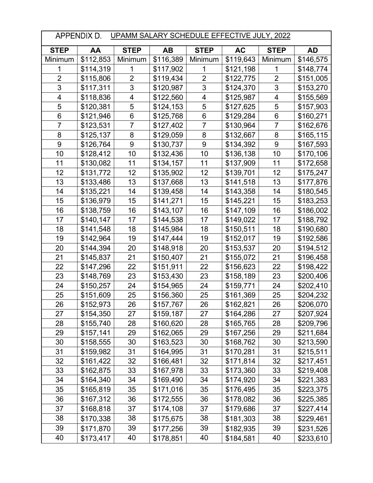| APPENDIX D.<br>UPAMM SALARY SCHEDULE EFFECTIVE JULY, 2022 |           |                |           |                  |           |                  |           |
|-----------------------------------------------------------|-----------|----------------|-----------|------------------|-----------|------------------|-----------|
| <b>STEP</b>                                               | AA        | <b>STEP</b>    | AB        | <b>STEP</b>      | <b>AC</b> | <b>STEP</b>      | <b>AD</b> |
| Minimum                                                   | \$112,853 | Minimum        | \$116,389 | Minimum          | \$119,643 | Minimum          | \$146,575 |
| 1                                                         | \$114,319 | 1              | \$117,902 | 1                | \$121,198 | 1                | \$148,774 |
| $\overline{2}$                                            | \$115,806 | $\overline{2}$ | \$119,434 | $\overline{2}$   | \$122,775 | $\overline{2}$   | \$151,005 |
| 3                                                         | \$117,311 | $\overline{3}$ | \$120,987 | 3                | \$124,370 | 3                | \$153,270 |
| 4                                                         | \$118,836 | 4              | \$122,560 | 4                | \$125,987 | 4                | \$155,569 |
| 5                                                         | \$120,381 | 5              | \$124,153 | 5                | \$127,625 | 5                | \$157,903 |
| 6                                                         | \$121,946 | 6              | \$125,768 | 6                | \$129,284 | $\,6$            | \$160,271 |
| $\overline{7}$                                            | \$123,531 | $\overline{7}$ | \$127,402 | $\overline{7}$   | \$130,964 | $\overline{7}$   | \$162,676 |
| 8                                                         | \$125,137 | 8              | \$129,059 | 8                | \$132,667 | 8                | \$165,115 |
| 9                                                         | \$126,764 | 9              | \$130,737 | $\boldsymbol{9}$ | \$134,392 | $\boldsymbol{9}$ | \$167,593 |
| 10                                                        | \$128,412 | 10             | \$132,436 | 10               | \$136,138 | 10               | \$170,106 |
| 11                                                        | \$130,082 | 11             | \$134,157 | 11               | \$137,909 | 11               | \$172,658 |
| 12                                                        | \$131,772 | 12             | \$135,902 | 12               | \$139,701 | 12               | \$175,247 |
| 13                                                        | \$133,486 | 13             | \$137,668 | 13               | \$141,518 | 13               | \$177,876 |
| 14                                                        | \$135,221 | 14             | \$139,458 | 14               | \$143,358 | 14               | \$180,545 |
| 15                                                        | \$136,979 | 15             | \$141,271 | 15               | \$145,221 | 15               | \$183,253 |
| 16                                                        | \$138,759 | 16             | \$143,107 | 16               | \$147,109 | 16               | \$186,002 |
| 17                                                        | \$140,147 | 17             | \$144,538 | 17               | \$149,022 | 17               | \$188,792 |
| 18                                                        | \$141,548 | 18             | \$145,984 | 18               | \$150,511 | 18               | \$190,680 |
| 19                                                        | \$142,964 | 19             | \$147,444 | 19               | \$152,017 | 19               | \$192,586 |
| 20                                                        | \$144,394 | 20             | \$148,918 | 20               | \$153,537 | 20               | \$194,512 |
| 21                                                        | \$145,837 | 21             | \$150,407 | 21               | \$155,072 | 21               | \$196,458 |
| 22                                                        | \$147,296 | 22             | \$151,911 | 22               | \$156,623 | 22               | \$198,422 |
| 23                                                        | \$148,769 | 23             | \$153,430 | 23               | \$158,189 | 23               | \$200,406 |
| 24                                                        | \$150,257 | 24             | \$154,965 | 24               | \$159,771 | 24               | \$202,410 |
| 25                                                        | \$151,609 | 25             | \$156,360 | 25               | \$161,369 | 25               | \$204,232 |
| 26                                                        | \$152,973 | 26             | \$157,767 | 26               | \$162,821 | 26               | \$206,070 |
| 27                                                        | \$154,350 | 27             | \$159,187 | 27               | \$164,286 | 27               | \$207,924 |
| 28                                                        | \$155,740 | 28             | \$160,620 | 28               | \$165,765 | 28               | \$209,796 |
| 29                                                        | \$157,141 | 29             | \$162,065 | 29               | \$167,256 | 29               | \$211,684 |
| 30                                                        | \$158,555 | 30             | \$163,523 | 30               | \$168,762 | 30               | \$213,590 |
| 31                                                        | \$159,982 | 31             | \$164,995 | 31               | \$170,281 | 31               | \$215,511 |
| 32                                                        | \$161,422 | 32             | \$166,481 | 32               | \$171,814 | 32               | \$217,451 |
| 33                                                        | \$162,875 | 33             | \$167,978 | 33               | \$173,360 | 33               | \$219,408 |
| 34                                                        | \$164,340 | 34             | \$169,490 | 34               | \$174,920 | 34               | \$221,383 |
| 35                                                        | \$165,819 | 35             | \$171,016 | 35               | \$176,495 | 35               | \$223,375 |
| 36                                                        | \$167,312 | 36             | \$172,555 | 36               | \$178,082 | 36               | \$225,385 |
| 37                                                        | \$168,818 | 37             | \$174,108 | 37               | \$179,686 | 37               | \$227,414 |
| 38                                                        | \$170,338 | 38             | \$175,675 | 38               | \$181,303 | 38               | \$229,461 |
| 39                                                        | \$171,870 | 39             | \$177,256 | 39               | \$182,935 | 39               | \$231,526 |
| 40                                                        | \$173,417 | 40             | \$178,851 | 40               | \$184,581 | 40               | \$233,610 |